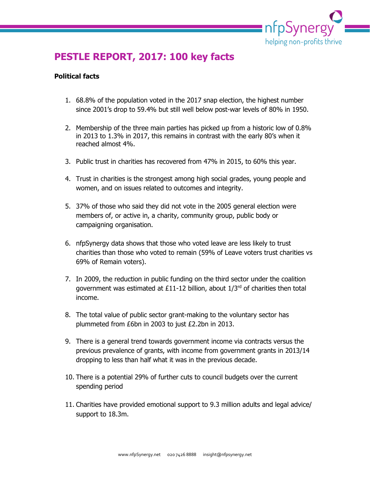

# **PESTLE REPORT, 2017: 100 key facts**

#### **Political facts**

- 1. 68.8% of the population voted in the 2017 snap election, the highest number since 2001's drop to 59.4% but still well below post-war levels of 80% in 1950.
- 2. Membership of the three main parties has picked up from a historic low of 0.8% in 2013 to 1.3% in 2017, this remains in contrast with the early 80's when it reached almost 4%.
- 3. Public trust in charities has recovered from 47% in 2015, to 60% this year.
- 4. Trust in charities is the strongest among high social grades, young people and women, and on issues related to outcomes and integrity.
- 5. 37% of those who said they did not vote in the 2005 general election were members of, or active in, a charity, community group, public body or campaigning organisation.
- 6. nfpSynergy data shows that those who voted leave are less likely to trust charities than those who voted to remain (59% of Leave voters trust charities vs 69% of Remain voters).
- 7. In 2009, the reduction in public funding on the third sector under the coalition government was estimated at £11-12 billion, about  $1/3<sup>rd</sup>$  of charities then total income.
- 8. The total value of public sector grant-making to the voluntary sector has plummeted from £6bn in 2003 to just £2.2bn in 2013.
- 9. There is a general trend towards government income via contracts versus the previous prevalence of grants, with income from government grants in 2013/14 dropping to less than half what it was in the previous decade.
- 10. There is a potential 29% of further cuts to council budgets over the current spending period
- 11. Charities have provided emotional support to 9.3 million adults and legal advice/ support to 18.3m.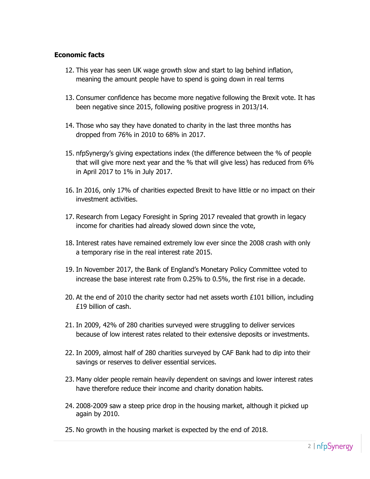#### **Economic facts**

- 12. This year has seen UK wage growth slow and start to lag behind inflation, meaning the amount people have to spend is going down in real terms
- 13. Consumer confidence has become more negative following the Brexit vote. It has been negative since 2015, following positive progress in 2013/14.
- 14. Those who say they have donated to charity in the last three months has dropped from 76% in 2010 to 68% in 2017.
- 15. nfpSynergy's giving expectations index (the difference between the % of people that will give more next year and the % that will give less) has reduced from 6% in April 2017 to 1% in July 2017.
- 16. In 2016, only 17% of charities expected Brexit to have little or no impact on their investment activities.
- 17. Research from Legacy Foresight in Spring 2017 revealed that growth in legacy income for charities had already slowed down since the vote,
- 18. Interest rates have remained extremely low ever since the 2008 crash with only a temporary rise in the real interest rate 2015.
- 19. In November 2017, the Bank of England's Monetary Policy Committee voted to increase the base interest rate from 0.25% to 0.5%, the first rise in a decade.
- 20. At the end of 2010 the charity sector had net assets worth £101 billion, including £19 billion of cash.
- 21. In 2009, 42% of 280 charities surveyed were struggling to deliver services because of low interest rates related to their extensive deposits or investments.
- 22. In 2009, almost half of 280 charities surveyed by CAF Bank had to dip into their savings or reserves to deliver essential services.
- 23. Many older people remain heavily dependent on savings and lower interest rates have therefore reduce their income and charity donation habits.
- 24. 2008-2009 saw a steep price drop in the housing market, although it picked up again by 2010.
- 25. No growth in the housing market is expected by the end of 2018.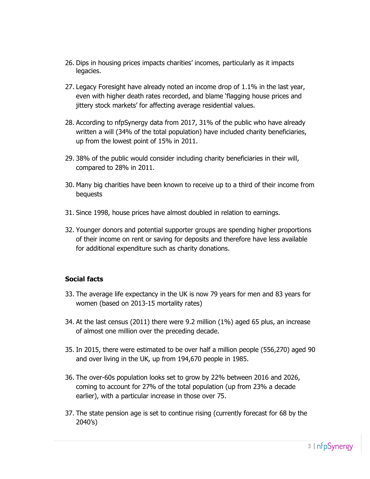- 26. Dips in housing prices impacts charities' incomes, particularly as it impacts legacies.
- 27. Legacy Foresight have already noted an income drop of 1.1% in the last year, even with higher death rates recorded, and blame 'flagging house prices and jittery stock markets' for affecting average residential values.
- 28. According to nfpSynergy data from 2017, 31% of the public who have already written a will (34% of the total population) have included charity beneficiaries, up from the lowest point of 15% in 2011.
- 29. 38% of the public would consider including charity beneficiaries in their will, compared to 28% in 2011.
- 30. Many big charities have been known to receive up to a third of their income from bequests
- 31. Since 1998, house prices have almost doubled in relation to earnings.
- 32. Younger donors and potential supporter groups are spending higher proportions of their income on rent or saving for deposits and therefore have less available for additional expenditure such as charity donations.

# **Social facts**

- 33. The average life expectancy in the UK is now 79 years for men and 83 years for women (based on 2013-15 mortality rates)
- 34. At the last census (2011) there were 9.2 million (1%) aged 65 plus, an increase of almost one million over the preceding decade.
- 35. In 2015, there were estimated to be over half a million people (556,270) aged 90 and over living in the UK, up from 194,670 people in 1985.
- 36. The over-60s population looks set to grow by 22% between 2016 and 2026, coming to account for 27% of the total population (up from 23% a decade earlier), with a particular increase in those over 75.
- 37. The state pension age is set to continue rising (currently forecast for 68 by the 2040's)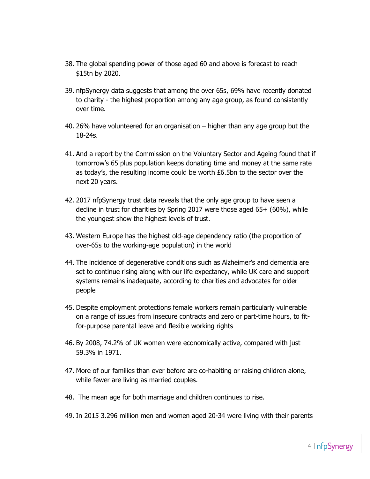- 38. The global spending power of those aged 60 and above is forecast to reach \$15tn by 2020.
- 39. nfpSynergy data suggests that among the over 65s, 69% have recently donated to charity - the highest proportion among any age group, as found consistently over time.
- 40. 26% have volunteered for an organisation higher than any age group but the 18-24s.
- 41. And a report by the Commission on the Voluntary Sector and Ageing found that if tomorrow's 65 plus population keeps donating time and money at the same rate as today's, the resulting income could be worth £6.5bn to the sector over the next 20 years.
- 42. 2017 nfpSynergy trust data reveals that the only age group to have seen a decline in trust for charities by Spring 2017 were those aged 65+ (60%), while the youngest show the highest levels of trust.
- 43. Western Europe has the highest old-age dependency ratio (the proportion of over-65s to the working-age population) in the world
- 44. The incidence of degenerative conditions such as Alzheimer's and dementia are set to continue rising along with our life expectancy, while UK care and support systems remains inadequate, according to charities and advocates for older people
- 45. Despite employment protections female workers remain particularly vulnerable on a range of issues from insecure contracts and zero or part-time hours, to fitfor-purpose parental leave and flexible working rights
- 46. By 2008, 74.2% of UK women were economically active, compared with just 59.3% in 1971.
- 47. More of our families than ever before are co-habiting or raising children alone, while fewer are living as married couples.
- 48. The mean age for both marriage and children continues to rise.
- 49. In 2015 3.296 million men and women aged 20-34 were living with their parents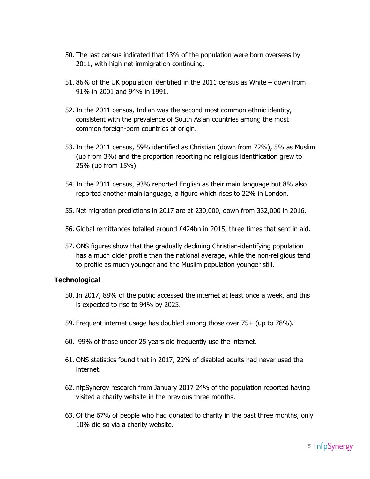- 50. The last census indicated that 13% of the population were born overseas by 2011, with high net immigration continuing.
- 51. 86% of the UK population identified in the 2011 census as White down from 91% in 2001 and 94% in 1991.
- 52. In the 2011 census, Indian was the second most common ethnic identity, consistent with the prevalence of South Asian countries among the most common foreign-born countries of origin.
- 53. In the 2011 census, 59% identified as Christian (down from 72%), 5% as Muslim (up from 3%) and the proportion reporting no religious identification grew to 25% (up from 15%).
- 54. In the 2011 census, 93% reported English as their main language but 8% also reported another main language, a figure which rises to 22% in London.
- 55. Net migration predictions in 2017 are at 230,000, down from 332,000 in 2016.
- 56. Global remittances totalled around £424bn in 2015, three times that sent in aid.
- 57. ONS figures show that the gradually declining Christian-identifying population has a much older profile than the national average, while the non-religious tend to profile as much younger and the Muslim population younger still.

#### **Technological**

- 58. In 2017, 88% of the public accessed the internet at least once a week, and this is expected to rise to 94% by 2025.
- 59. Frequent internet usage has doubled among those over 75+ (up to 78%).
- 60. 99% of those under 25 years old frequently use the internet.
- 61. ONS statistics found that in 2017, 22% of disabled adults had never used the internet.
- 62. nfpSynergy research from January 2017 24% of the population reported having visited a charity website in the previous three months.
- 63. Of the 67% of people who had donated to charity in the past three months, only 10% did so via a charity website.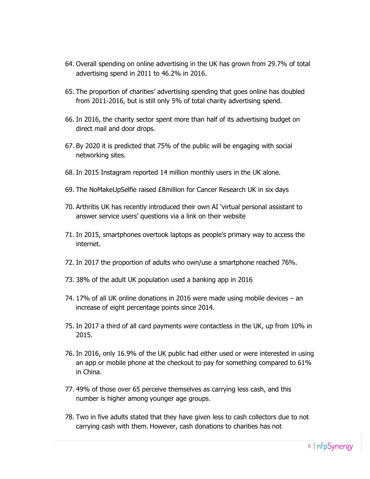- 64. Overall spending on online advertising in the UK has grown from 29.7% of total advertising spend in 2011 to 46.2% in 2016.
- 65. The proportion of charities' advertising spending that goes online has doubled from 2011-2016, but is still only 5% of total charity advertising spend.
- 66. In 2016, the charity sector spent more than half of its advertising budget on direct mail and door drops.
- 67. By 2020 it is predicted that 75% of the public will be engaging with social networking sites.
- 68. In 2015 Instagram reported 14 million monthly users in the UK alone.
- 69. The NoMakeUpSelfie raised £8million for Cancer Research UK in six days
- 70. Arthritis UK has recently introduced their own AI 'virtual personal assistant to answer service users' questions via a link on their website
- 71. In 2015, smartphones overtook laptops as people's primary way to access the internet.
- 72. In 2017 the proportion of adults who own/use a smartphone reached 76%.
- 73. 38% of the adult UK population used a banking app in 2016
- 74. 17% of all UK online donations in 2016 were made using mobile devices an increase of eight percentage points since 2014.
- 75. In 2017 a third of all card payments were contactless in the UK, up from 10% in 2015.
- 76. In 2016, only 16.9% of the UK public had either used or were interested in using an app or mobile phone at the checkout to pay for something compared to 61% in China.
- 77. 49% of those over 65 perceive themselves as carrying less cash, and this number is higher among younger age groups.
- 78. Two in five adults stated that they have given less to cash collectors due to not carrying cash with them. However, cash donations to charities has not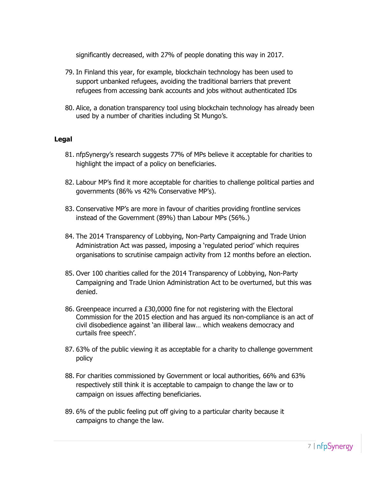significantly decreased, with 27% of people donating this way in 2017.

- 79. In Finland this year, for example, blockchain technology has been used to support unbanked refugees, avoiding the traditional barriers that prevent refugees from accessing bank accounts and jobs without authenticated IDs
- 80. Alice, a donation transparency tool using blockchain technology has already been used by a number of charities including St Mungo's.

# **Legal**

- 81. nfpSynergy's research suggests 77% of MPs believe it acceptable for charities to highlight the impact of a policy on beneficiaries.
- 82. Labour MP's find it more acceptable for charities to challenge political parties and governments (86% vs 42% Conservative MP's).
- 83. Conservative MP's are more in favour of charities providing frontline services instead of the Government (89%) than Labour MPs (56%.)
- 84. The 2014 Transparency of Lobbying, Non-Party Campaigning and Trade Union Administration Act was passed, imposing a 'regulated period' which requires organisations to scrutinise campaign activity from 12 months before an election.
- 85. Over 100 charities called for the 2014 Transparency of Lobbying, Non-Party Campaigning and Trade Union Administration Act to be overturned, but this was denied.
- 86. Greenpeace incurred a £30,0000 fine for not registering with the Electoral Commission for the 2015 election and has argued its non-compliance is an act of civil disobedience against 'an illiberal law… which weakens democracy and curtails free speech'.
- 87. 63% of the public viewing it as acceptable for a charity to challenge government policy
- 88. For charities commissioned by Government or local authorities, 66% and 63% respectively still think it is acceptable to campaign to change the law or to campaign on issues affecting beneficiaries.
- 89. 6% of the public feeling put off giving to a particular charity because it campaigns to change the law.